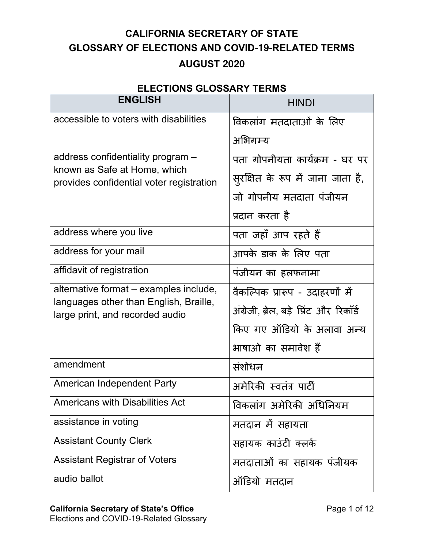## **CALIFORNIA SECRETARY OF STATE GLOSSARY OF ELECTIONS AND COVID-19-RELATED TERMS AUGUST 2020**

## **ELECTIONS GLOSSARY TERMS**

| <b>ENGLISH</b>                                                            | <b>HINDI</b>                            |
|---------------------------------------------------------------------------|-----------------------------------------|
| accessible to voters with disabilities                                    | विकलांग मतदाताओं के लिए                 |
|                                                                           | अभिगम्य                                 |
| address confidentiality program -                                         | पता गोपनीयता कार्यक्रम - घर पर          |
| known as Safe at Home, which<br>provides confidential voter registration  | सुरक्षित के रूप में जाना जाता है,       |
|                                                                           | जो गोपनीय मतदाता पंजीयन                 |
|                                                                           | प्रदान करता है                          |
| address where you live                                                    | पता जहाँ आप रहते हैं                    |
| address for your mail                                                     | आपके डाक के लिए पता                     |
| affidavit of registration                                                 | पंजीयन का हलफनामा                       |
| alternative format – examples include,                                    | वैकल्पिक प्रारूप - उदाहरणों में         |
| languages other than English, Braille,<br>large print, and recorded audio | अंग्रेजी, ब्रेल, बड़े प्रिंट और रिकॉर्ड |
|                                                                           | किए गए ऑडियो के अलावा अन्य              |
|                                                                           | भाषाओं का समावेश हैं                    |
| amendment                                                                 | संशोधन                                  |
| <b>American Independent Party</b>                                         | अमेरिकी स्वतंत्र पार्टी                 |
| <b>Americans with Disabilities Act</b>                                    | विकलांग अमेरिकी अधिनियम                 |
| assistance in voting                                                      | मतदान में सहायता                        |
| <b>Assistant County Clerk</b>                                             | सहायक काउंटी क्लर्क                     |
| <b>Assistant Registrar of Voters</b>                                      | मतदाताओं का सहायक पंजीयक                |
| audio ballot                                                              | ऑडियो मतदान                             |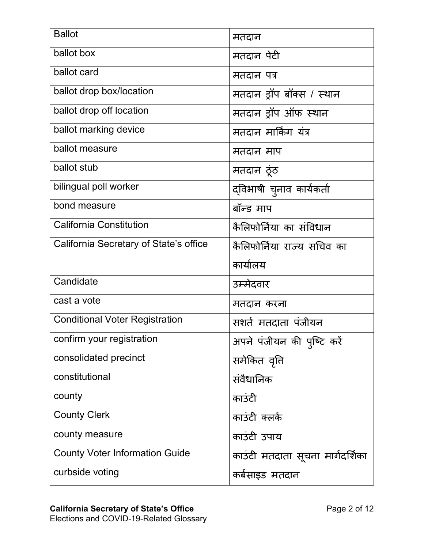| <b>Ballot</b>                          | मतदान                            |
|----------------------------------------|----------------------------------|
| ballot box                             | मतदान पेटी                       |
| ballot card                            | मतदान पत्र                       |
| ballot drop box/location               | मतदान ड्रॉप बॉक्स / स्थान        |
| ballot drop off location               | मतदान ड्रॉप ऑफ स्थान             |
| ballot marking device                  | मतदान मार्किंग यंत्र             |
| ballot measure                         | मतदान माप                        |
| ballot stub                            | मतदान ठूंठ                       |
| bilingual poll worker                  | द्विभाषी चुनाव कार्यकर्ता        |
| bond measure                           | बॉन्ड माप                        |
| <b>California Constitution</b>         | कैलिफोर्निया का संविधान          |
| California Secretary of State's office | कैलिफोर्निया राज्य सचिव का       |
|                                        |                                  |
|                                        | कार्यालय                         |
| Candidate                              | उम्मेदवार                        |
| cast a vote                            | मतदान करना                       |
| <b>Conditional Voter Registration</b>  | सशर्त मतदाता पंजीयन              |
| confirm your registration              | अपने पंजीयन की पुष्टि करें       |
| consolidated precinct                  | समेकित वृत्ति                    |
| constitutional                         | संवैधानिक                        |
| county                                 | काउंटी                           |
| <b>County Clerk</b>                    | काउंटी क्लर्क                    |
| county measure                         | काउंटी उपाय                      |
| <b>County Voter Information Guide</b>  | काउंटी मतदाता सूचना मार्गदर्शिका |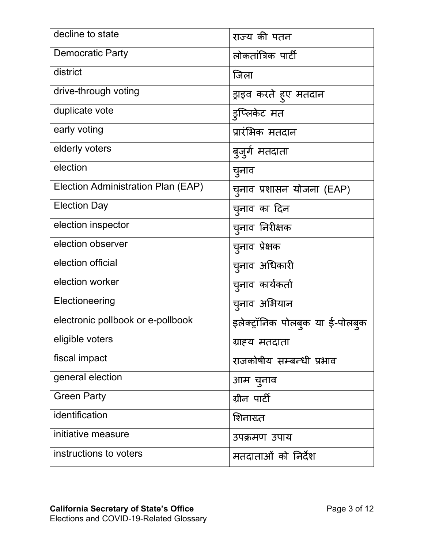| decline to state                   | राज्य की पतन                    |
|------------------------------------|---------------------------------|
| <b>Democratic Party</b>            | लोकतांत्रिक पार्टी              |
| district                           | जिला                            |
| drive-through voting               | ड्राइव करते हुए मतदान           |
| duplicate vote                     | इप्लिकेट मत                     |
| early voting                       | प्रारंभिक मतदान                 |
| elderly voters                     | बुजुर्ग मतदाता                  |
| election                           | चुनाव                           |
| Election Administration Plan (EAP) | चूनाव प्रशासन योजना (EAP)       |
| <b>Election Day</b>                | च्नाव का दिन                    |
| election inspector                 | च्नाव निरीक्षक                  |
| election observer                  | च्नाव प्रेक्षक                  |
| election official                  | चुनाव अधिकारी                   |
| election worker                    | च्नाव कार्यकर्ता                |
| Electioneering                     | च्नाव अभियान                    |
| electronic pollbook or e-pollbook  | इलेक्ट्रॉनिक पोलबुक या ई-पोलबुक |
| eligible voters                    | ग्राह्य मतदाता                  |
| fiscal impact                      | राजकोषीय सम्बन्धी प्रभाव        |
| general election                   | आम चुनाव                        |
| <b>Green Party</b>                 | ग्रीन पार्टी                    |
| identification                     | शिनाख्त                         |
| initiative measure                 | उपक्रमण उपाय                    |
| instructions to voters             | मतदाताओं को निर्देश             |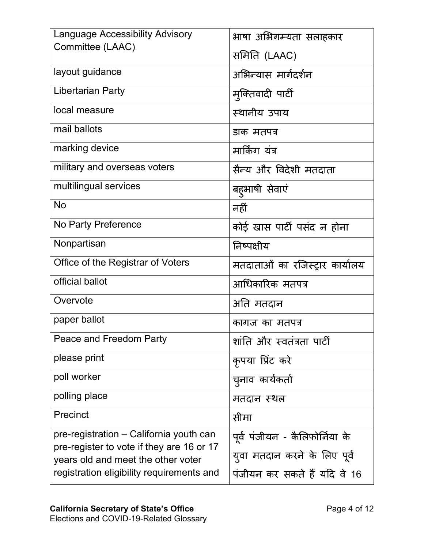| <b>Language Accessibility Advisory</b>                                          | भाषा अभिगम्यता सलाहकार          |
|---------------------------------------------------------------------------------|---------------------------------|
| Committee (LAAC)                                                                | समिति (LAAC)                    |
| layout guidance                                                                 | अभिन्यास मार्गदर्शन             |
| <b>Libertarian Party</b>                                                        | मुक्तिवादी पार्टी               |
| local measure                                                                   | स्थानीय उपाय                    |
| mail ballots                                                                    | डाक मतपत्र                      |
| marking device                                                                  | मार्किंग यंत्र                  |
| military and overseas voters                                                    | सैन्य और विदेशी मतदाता          |
| multilingual services                                                           | बहुभाषी सेवाएं                  |
| <b>No</b>                                                                       | नहीं                            |
| No Party Preference                                                             | कोई खास पार्टी पसंद न होना      |
| Nonpartisan                                                                     | निष्पक्षीय                      |
| Office of the Registrar of Voters                                               | मतदाताओं का रजिस्ट्रार कार्यालय |
| official ballot                                                                 | आधिकारिक मतपत्र                 |
| Overvote                                                                        | अति मतदान                       |
| paper ballot                                                                    | कागज का मतपत्र                  |
| Peace and Freedom Party                                                         | शांति और स्वतंत्रता पार्टी      |
| please print                                                                    | कृपया प्रिंट करे                |
| poll worker                                                                     | च्नाव कार्यकर्ता                |
| polling place                                                                   | मतदान स्थल                      |
| Precinct                                                                        | सीमा                            |
| pre-registration – California youth can                                         | पूर्व पंजीयन - कैलिफोर्निया के  |
| pre-register to vote if they are 16 or 17<br>years old and meet the other voter | युवा मतदान करने के लिए पूर्व    |
| registration eligibility requirements and                                       | पंजीयन कर सकते हैं यदि वे 16    |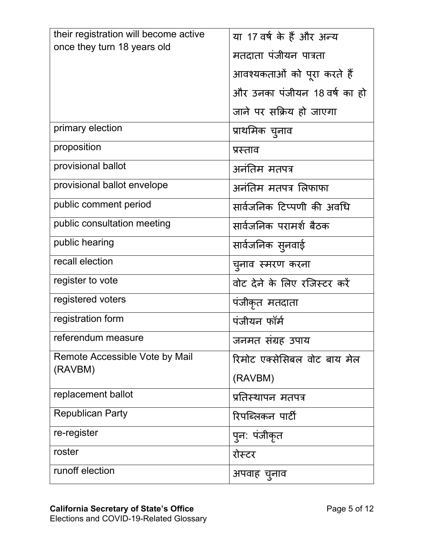| their registration will become active | या 17 वर्ष के हैं और अन्य    |
|---------------------------------------|------------------------------|
| once they turn 18 years old           | मतदाता पंजीयन पात्रता        |
|                                       | आवश्यकताओं को पूरा करते हैं  |
|                                       | और उनका पंजीयन 18 वर्ष का हो |
|                                       | जाने पर सक्रिय हो जाएगा      |
| primary election                      | प्राथमिक चुनाव               |
| proposition                           | प्रस्ताव                     |
| provisional ballot                    | अनंतिम मतपत्र                |
| provisional ballot envelope           | अनंतिम मतपत्र लिफाफा         |
| public comment period                 | सार्वजनिक टिप्पणी की अवधि    |
| public consultation meeting           | सार्वजनिक परामर्श बैठक       |
| public hearing                        | सार्वजनिक सुनवाई             |
| recall election                       | चुनाव स्मरण करना             |
| register to vote                      | वोट देने के लिए रजिस्टर करें |
| registered voters                     | पंजीकृत मतदाता               |
| registration form                     | पंजीयन फॉर्म                 |
| referendum measure                    | जनमत संग्रह उपाय             |
| Remote Accessible Vote by Mail        | रिमोट एक्सेसिबल वोट बाय मेल  |
| (RAVBM)                               | (RAVBM)                      |
| replacement ballot                    | प्रतिस्थापन मतपत्र           |
| <b>Republican Party</b>               | रिपब्लिकन पार्टी             |
| re-register                           | प् <b>न: पंजीकृ</b> त        |
| roster                                | रोस्टर                       |
| runoff election                       | अपवाह च्नाव                  |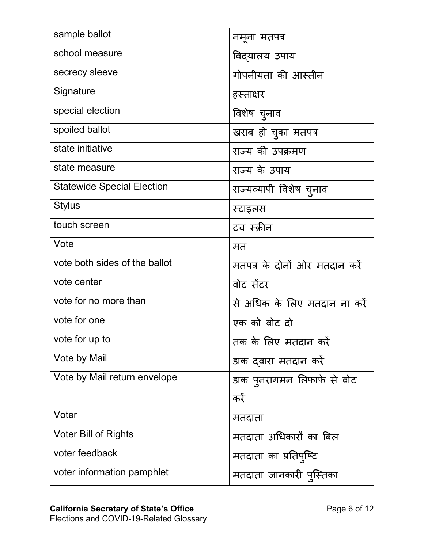| sample ballot                     | नमना मतपत्र                   |
|-----------------------------------|-------------------------------|
| school measure                    | विद्यालय उपाय                 |
| secrecy sleeve                    | गोपनीयता की आस्तीन            |
| Signature                         | हस्ताक्षर                     |
| special election                  | विशेष च्नाव                   |
| spoiled ballot                    | खराब हो चुका मतपत्र           |
| state initiative                  | राज्य की उपक्रमण              |
| state measure                     | राज्य के उपाय                 |
| <b>Statewide Special Election</b> | राज्यव्यापी विशेष च्नाव       |
| <b>Stylus</b>                     | स्टाइलस                       |
| touch screen                      | टच स्क्रीन                    |
| Vote                              | मत                            |
| vote both sides of the ballot     | मतपत्र के दोनों ओर मतदान करें |
| vote center                       | वोट सेंटर                     |
| vote for no more than             | से अधिक के लिए मतदान ना करें  |
| vote for one                      | एक को वोट दो                  |
| vote for up to                    | तक के लिए मतदान करें          |
| Vote by Mail                      | डाक दवारा मतदान करें          |
| Vote by Mail return envelope      | डाक पुनरागमन लिफाफे से वोट    |
|                                   | करें                          |
| Voter                             | मतदाता                        |
| <b>Voter Bill of Rights</b>       | मतदाता अधिकारों का बिल        |
| voter feedback                    | मतदाता का प्रतिपुष्टि         |
| voter information pamphlet        | मतदाता जानकारी पुस्तिका       |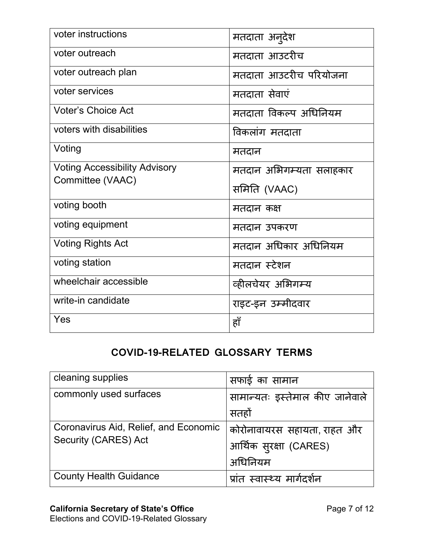| voter instructions                   | मतदाता अन् <b>देश</b>   |
|--------------------------------------|-------------------------|
| voter outreach                       | मतदाता आउटरीच           |
| voter outreach plan                  | मतदाता आउटरीच परियोजना  |
| voter services                       | मतदाता सेवाएं           |
| <b>Voter's Choice Act</b>            | मतदाता विकल्प अधिनियम   |
| voters with disabilities             | विकलांग मतदाता          |
| Voting                               | मतदान                   |
| <b>Voting Accessibility Advisory</b> | मतदान अभिगम्यता सलाहकार |
| Committee (VAAC)                     | समिति (VAAC)            |
| voting booth                         | मतदान कक्ष              |
| voting equipment                     | मतदान उपकरण             |
| <b>Voting Rights Act</b>             | मतदान अधिकार अधिनियम    |
| voting station                       | मतदान स्टेशन            |
| wheelchair accessible                | व्हीलचेयर अभिगम्य       |
| write-in candidate                   | राइट-इन उम्मीदवार       |
| Yes                                  | हाँ                     |

## **COVID-19-RELATED GLOSSARY TERMS**

| cleaning supplies                     | सफाई का सामान                   |
|---------------------------------------|---------------------------------|
| commonly used surfaces                | सामान्यतः इस्तेमाल कीए जानेवाले |
|                                       | सतहों                           |
| Coronavirus Aid, Relief, and Economic | कोरोनावायरस सहायता, राहत और     |
| <b>Security (CARES) Act</b>           | आर्थिक सुरक्षा (CARES)          |
|                                       | अधिनियम                         |
| <b>County Health Guidance</b>         | प्रांत स्वास्थ्य मार्गदर्शन     |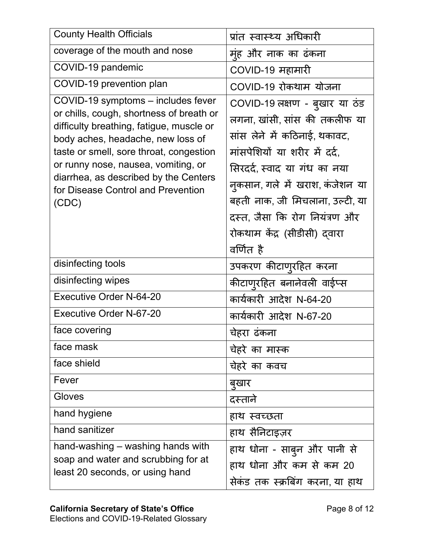| <b>County Health Officials</b>                                                                                                                                                                                                                                                                                                            | प्रांत स्वास्थ्य अधिकारी                                                                                                                                                                                                                                                                                            |
|-------------------------------------------------------------------------------------------------------------------------------------------------------------------------------------------------------------------------------------------------------------------------------------------------------------------------------------------|---------------------------------------------------------------------------------------------------------------------------------------------------------------------------------------------------------------------------------------------------------------------------------------------------------------------|
| coverage of the mouth and nose                                                                                                                                                                                                                                                                                                            | मूंह और नाक का ढंकना                                                                                                                                                                                                                                                                                                |
| COVID-19 pandemic                                                                                                                                                                                                                                                                                                                         | COVID-19 महामारी                                                                                                                                                                                                                                                                                                    |
| COVID-19 prevention plan                                                                                                                                                                                                                                                                                                                  | COVID-19 रोकथाम योजना                                                                                                                                                                                                                                                                                               |
| COVID-19 symptoms - includes fever<br>or chills, cough, shortness of breath or<br>difficulty breathing, fatigue, muscle or<br>body aches, headache, new loss of<br>taste or smell, sore throat, congestion<br>or runny nose, nausea, vomiting, or<br>diarrhea, as described by the Centers<br>for Disease Control and Prevention<br>(CDC) | COVID-19 लक्षण - बुखार या ठंड<br>लगना, खांसी, सांस की तकलीफ या<br>सांस लेने में कठिनाई, थकावट,<br>मांसपेशियों या शरीर में दर्द.<br>सिरदर्द, स्वाद या गंध का नया<br>नुकसान, गले में खराश, कंजेशन या<br>बहती नाक, जी मिचलाना, उल्टी, या<br>दस्त, जैसा कि रोग नियंत्रण और<br>रोकथाम केंद्र (सीडीसी) दवारा<br>वर्णित है |
| disinfecting tools                                                                                                                                                                                                                                                                                                                        | उपकरण कीटाणूरहित करना                                                                                                                                                                                                                                                                                               |
| disinfecting wipes                                                                                                                                                                                                                                                                                                                        | कीटाणुरहित बनानेवली वाईप्स                                                                                                                                                                                                                                                                                          |
| <b>Executive Order N-64-20</b>                                                                                                                                                                                                                                                                                                            | कार्यकारी आदेश N-64-20                                                                                                                                                                                                                                                                                              |
| <b>Executive Order N-67-20</b>                                                                                                                                                                                                                                                                                                            | कार्यकारी आदेश N-67-20                                                                                                                                                                                                                                                                                              |
| face covering                                                                                                                                                                                                                                                                                                                             | चेहरा ढकना                                                                                                                                                                                                                                                                                                          |
| face mask                                                                                                                                                                                                                                                                                                                                 | चेहरे का मास्क                                                                                                                                                                                                                                                                                                      |
| face shield                                                                                                                                                                                                                                                                                                                               | चेहरे का कवच                                                                                                                                                                                                                                                                                                        |
| Fever                                                                                                                                                                                                                                                                                                                                     | बुखार                                                                                                                                                                                                                                                                                                               |
| Gloves                                                                                                                                                                                                                                                                                                                                    | दस्ताने                                                                                                                                                                                                                                                                                                             |
| hand hygiene                                                                                                                                                                                                                                                                                                                              | हाथ स्वच्छता                                                                                                                                                                                                                                                                                                        |
| hand sanitizer                                                                                                                                                                                                                                                                                                                            | हाथ सैनिटाइज़र                                                                                                                                                                                                                                                                                                      |
| hand-washing – washing hands with<br>soap and water and scrubbing for at<br>least 20 seconds, or using hand                                                                                                                                                                                                                               | हाथ धोना - साबुन और पानी से<br>हाथ धोना और कम से कम 20                                                                                                                                                                                                                                                              |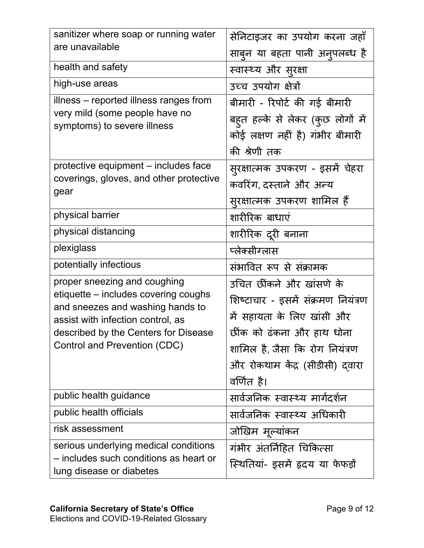| sanitizer where soap or running water                                                                                                                                                                                 | सेनिटाइजर का उपयोग करना जहाँ                                                                                                                                                                                 |
|-----------------------------------------------------------------------------------------------------------------------------------------------------------------------------------------------------------------------|--------------------------------------------------------------------------------------------------------------------------------------------------------------------------------------------------------------|
| are unavailable                                                                                                                                                                                                       | साबुन या बहता पानी अनुपलब्ध है                                                                                                                                                                               |
| health and safety                                                                                                                                                                                                     | स्वास्थ्य और सुरक्षा                                                                                                                                                                                         |
| high-use areas                                                                                                                                                                                                        | उच्च उपयोग क्षेत्रों                                                                                                                                                                                         |
| illness – reported illness ranges from<br>very mild (some people have no<br>symptoms) to severe illness                                                                                                               | बीमारी - रिपोर्ट की गई बीमारी<br>बहुत हल्के से लेकर (कुछ लोगों में<br>कोई लक्षण नहीं है) गंभीर बीमारी<br>की श्रेणी तक                                                                                        |
| protective equipment – includes face<br>coverings, gloves, and other protective<br>gear                                                                                                                               | सुरक्षात्मक उपकरण - इसमें चेहरा<br>कवरिंग, दस्ताने और अन्य<br>सुरक्षात्मक उपकरण शामिल हैं                                                                                                                    |
| physical barrier                                                                                                                                                                                                      | शारीरिक बाधाएं                                                                                                                                                                                               |
| physical distancing                                                                                                                                                                                                   | शारीरिक दूरी बनाना                                                                                                                                                                                           |
| plexiglass                                                                                                                                                                                                            | प्लेक्सीग्लास                                                                                                                                                                                                |
| potentially infectious                                                                                                                                                                                                | संभावित रूप से संक्रामक                                                                                                                                                                                      |
| proper sneezing and coughing<br>etiquette – includes covering coughs<br>and sneezes and washing hands to<br>assist with infection control, as<br>described by the Centers for Disease<br>Control and Prevention (CDC) | उचित छींकने और खांसणे के<br>शिष्टाचार - इसमें संक्रमण नियंत्रण<br>में सहायता के लिए खांसी और<br>छींक को ढंकना और हाथ धोना<br>शामिल है, जैसा कि रोग नियंत्रण<br>और रोकथाम केंद्र (सीडीसी) दवारा<br>वर्णित है। |
| public health guidance                                                                                                                                                                                                | सार्वजनिक स्वास्थ्य मार्गदर्शन                                                                                                                                                                               |
| public health officials                                                                                                                                                                                               | सार्वजनिक स्वास्थ्य अधिकारी                                                                                                                                                                                  |
| risk assessment                                                                                                                                                                                                       | जोखिम मूल्याकन                                                                                                                                                                                               |
| serious underlying medical conditions<br>– includes such conditions as heart or<br>lung disease or diabetes                                                                                                           | गंभीर अंतर्निहित चिकित्सा<br>स्थितियां- इसमें हृदय या फेफड़ों                                                                                                                                                |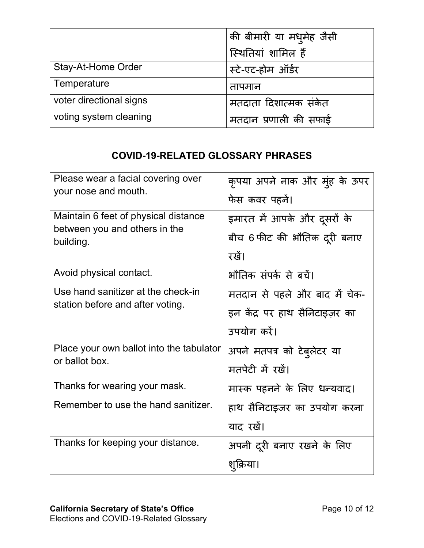|                         | की बीमारी या मधुमेह जैसी |
|-------------------------|--------------------------|
|                         | स्थितियां शामिल हैं      |
| Stay-At-Home Order      | स्टे-एट-होम ऑर्डर        |
| Temperature             | तापमान                   |
| voter directional signs | मतदाता दिशात्मक संकेत    |
| voting system cleaning  | मतदान प्रणाली की सफाई    |

## **COVID-19-RELATED GLOSSARY PHRASES**

| Please wear a facial covering over         | कृपया अपने नाक और मुंह के ऊपर  |
|--------------------------------------------|--------------------------------|
| your nose and mouth.                       | फेस कवर पहनें।                 |
| Maintain 6 feet of physical distance       | इमारत में आपके और दूसरों के    |
| between you and others in the<br>building. | बीच 6 फीट की भौतिक दूरी बनाए   |
|                                            | रखें।                          |
| Avoid physical contact.                    | भौतिक संपर्क से बचें।          |
| Use hand sanitizer at the check-in         | मतदान से पहले और बाद में चेक-  |
| station before and after voting.           | इन केंद्र पर हाथ सैनिटाइज़र का |
|                                            |                                |
|                                            | उपयोग करें।                    |
| Place your own ballot into the tabulator   | अपने मतपत्र को टेब्लेटर या     |
| or ballot box.                             | मतपेटी में रखें।               |
| Thanks for wearing your mask.              | मास्क पहनने के लिए धन्यवाद।    |
| Remember to use the hand sanitizer.        | हाथ सैनिटाइजर का उपयोग करना    |
|                                            | याद रखें।                      |
| Thanks for keeping your distance.          | अपनी दूरी बनाए रखने के लिए     |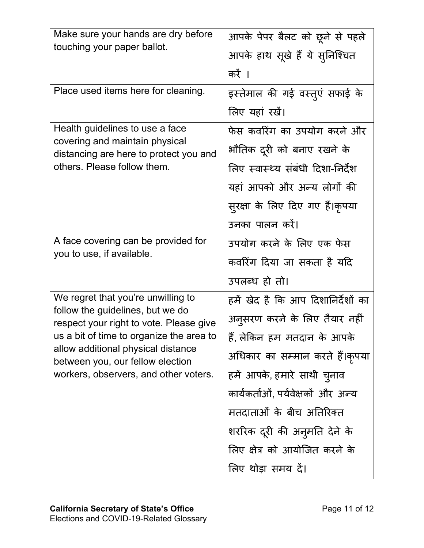| Make sure your hands are dry before<br>touching your paper ballot.                                                                                                                                                                                                               | आपके पेपर बैलट को छूने से पहले     |
|----------------------------------------------------------------------------------------------------------------------------------------------------------------------------------------------------------------------------------------------------------------------------------|------------------------------------|
|                                                                                                                                                                                                                                                                                  | आपके हाथ सूखे हैं ये सुनिश्चित     |
|                                                                                                                                                                                                                                                                                  | करें ।                             |
| Place used items here for cleaning.                                                                                                                                                                                                                                              | इस्तेमाल की गई वस्तुएं सफाई के     |
|                                                                                                                                                                                                                                                                                  | लिए यहां रखें।                     |
| Health guidelines to use a face<br>covering and maintain physical<br>distancing are here to protect you and<br>others. Please follow them.                                                                                                                                       | फेस कवरिंग का उपयोग करने और        |
|                                                                                                                                                                                                                                                                                  | भौतिक दूरी को बनाए रखने के         |
|                                                                                                                                                                                                                                                                                  | लिए स्वास्थ्य संबंधी दिशा-निर्देश  |
|                                                                                                                                                                                                                                                                                  | यहां आपको और अन्य लोगों की         |
|                                                                                                                                                                                                                                                                                  | सुरक्षा के लिए दिए गए हैं।कृपया    |
|                                                                                                                                                                                                                                                                                  | उनका पालन करें।                    |
| A face covering can be provided for<br>you to use, if available.                                                                                                                                                                                                                 | उपयोग करने के लिए एक फेस           |
|                                                                                                                                                                                                                                                                                  | कवरिंग दिया जा सकता है यदि         |
|                                                                                                                                                                                                                                                                                  | उपलब्ध हो तो।                      |
| We regret that you're unwilling to<br>follow the guidelines, but we do<br>respect your right to vote. Please give<br>us a bit of time to organize the area to<br>allow additional physical distance<br>between you, our fellow election<br>workers, observers, and other voters. | हमें खेद है कि आप दिशानिर्देशों का |
|                                                                                                                                                                                                                                                                                  | अनुसरण करने के लिए तैयार नहीं      |
|                                                                                                                                                                                                                                                                                  | हैं, लेकिन हम मतदान के आपके        |
|                                                                                                                                                                                                                                                                                  | अधिकार का सम्मान करते हैं।कृपया    |
|                                                                                                                                                                                                                                                                                  | हमें आपके, हमारे साथी चुनाव        |
|                                                                                                                                                                                                                                                                                  | कार्यकर्ताओं, पर्यवेक्षकों और अन्य |
|                                                                                                                                                                                                                                                                                  | मतदाताओं के बीच अतिरिक्त           |
|                                                                                                                                                                                                                                                                                  | शररिक दूरी की अनुमति देने के       |
|                                                                                                                                                                                                                                                                                  | लिए क्षेत्र को आयोजित करने के      |
|                                                                                                                                                                                                                                                                                  | लिए थोड़ा समय दें।                 |